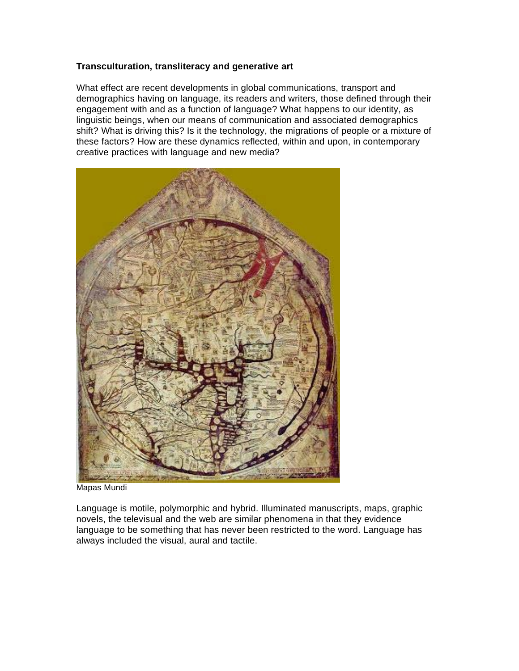## **Transculturation, transliteracy and generative art**

What effect are recent developments in global communications, transport and demographics having on language, its readers and writers, those defined through their engagement with and as a function of language? What happens to our identity, as linguistic beings, when our means of communication and associated demographics shift? What is driving this? Is it the technology, the migrations of people or a mixture of these factors? How are these dynamics reflected, within and upon, in contemporary creative practices with language and new media?



Mapas Mundi

Language is motile, polymorphic and hybrid. Illuminated manuscripts, maps, graphic novels, the televisual and the web are similar phenomena in that they evidence language to be something that has never been restricted to the word. Language has always included the visual, aural and tactile.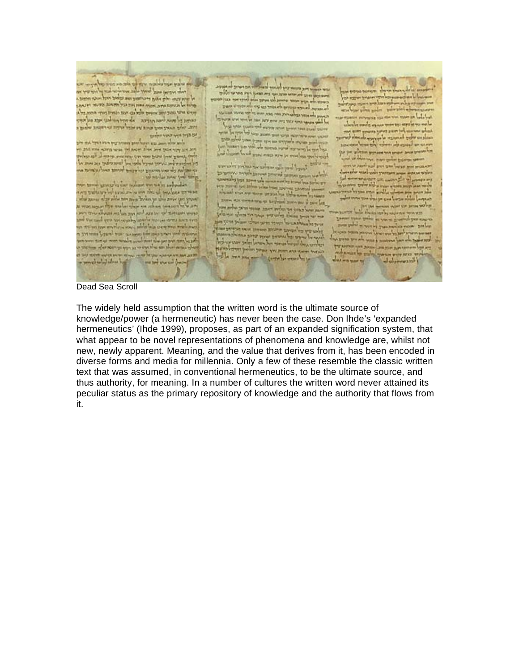

Dead Sea Scroll

The widely held assumption that the written word is the ultimate source of knowledge/power (a hermeneutic) has never been the case. Don Ihde's 'expanded hermeneutics' (Ihde 1999), proposes, as part of an expanded signification system, that what appear to be novel representations of phenomena and knowledge are, whilst not new, newly apparent. Meaning, and the value that derives from it, has been encoded in diverse forms and media for millennia. Only a few of these resemble the classic written text that was assumed, in conventional hermeneutics, to be the ultimate source, and thus authority, for meaning. In a number of cultures the written word never attained its peculiar status as the primary repository of knowledge and the authority that flows from it.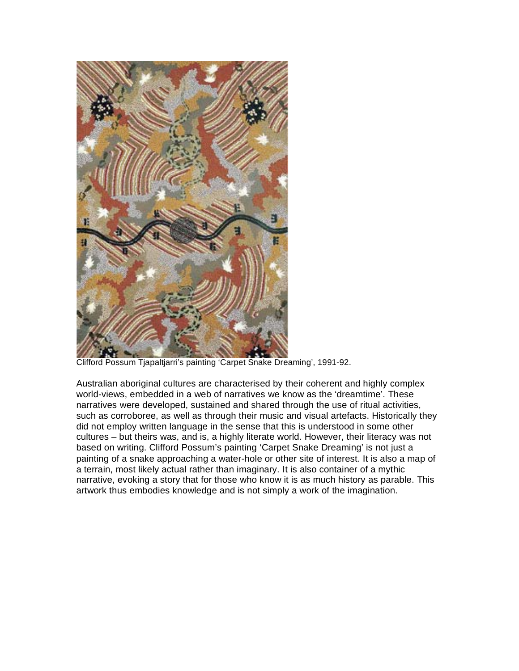

Clifford Possum Tjapaltjarri's painting 'Carpet Snake Dreaming', 1991-92.

Australian aboriginal cultures are characterised by their coherent and highly complex world-views, embedded in a web of narratives we know as the 'dreamtime'. These narratives were developed, sustained and shared through the use of ritual activities, such as corroboree, as well as through their music and visual artefacts. Historically they did not employ written language in the sense that this is understood in some other cultures – but theirs was, and is, a highly literate world. However, their literacy was not based on writing. Clifford Possum's painting 'Carpet Snake Dreaming' is not just a painting of a snake approaching a water-hole or other site of interest. It is also a map of a terrain, most likely actual rather than imaginary. It is also container of a mythic narrative, evoking a story that for those who know it is as much history as parable. This artwork thus embodies knowledge and is not simply a work of the imagination.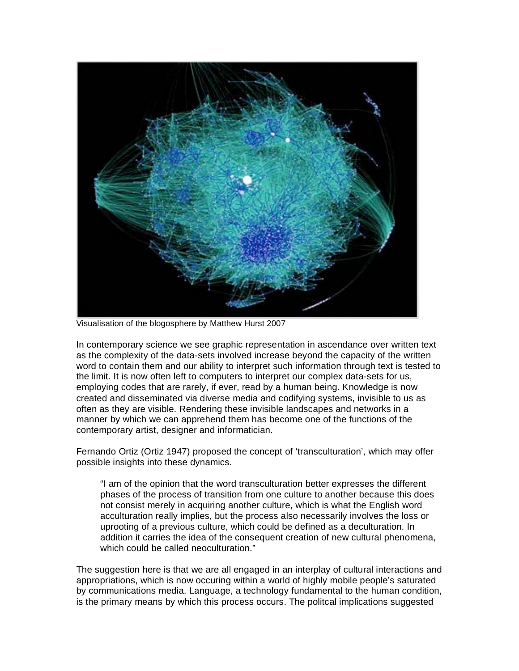

Visualisation of the blogosphere by Matthew Hurst 2007

In contemporary science we see graphic representation in ascendance over written text as the complexity of the data-sets involved increase beyond the capacity of the written word to contain them and our ability to interpret such information through text is tested to the limit. It is now often left to computers to interpret our complex data-sets for us, employing codes that are rarely, if ever, read by a human being. Knowledge is now created and disseminated via diverse media and codifying systems, invisible to us as often as they are visible. Rendering these invisible landscapes and networks in a manner by which we can apprehend them has become one of the functions of the contemporary artist, designer and informatician.

Fernando Ortiz (Ortiz 1947) proposed the concept of 'transculturation', which may offer possible insights into these dynamics.

"I am of the opinion that the word transculturation better expresses the different phases of the process of transition from one culture to another because this does not consist merely in acquiring another culture, which is what the English word acculturation really implies, but the process also necessarily involves the loss or uprooting of a previous culture, which could be defined as a deculturation. In addition it carries the idea of the consequent creation of new cultural phenomena, which could be called neoculturation."

The suggestion here is that we are all engaged in an interplay of cultural interactions and appropriations, which is now occuring within a world of highly mobile people's saturated by communications media. Language, a technology fundamental to the human condition, is the primary means by which this process occurs. The politcal implications suggested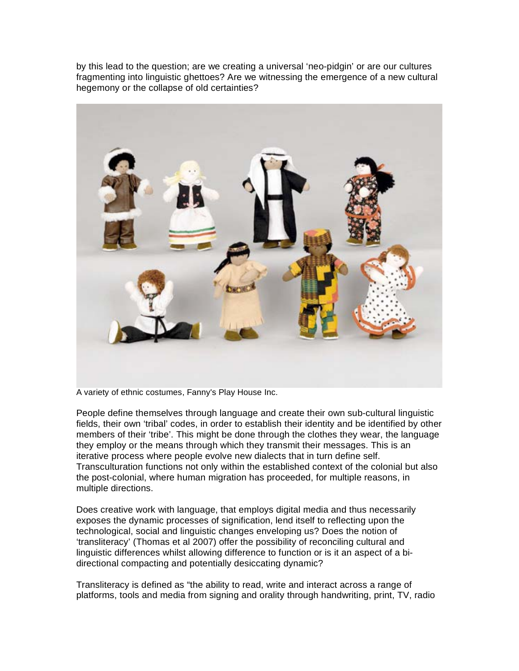by this lead to the question; are we creating a universal 'neo-pidgin' or are our cultures fragmenting into linguistic ghettoes? Are we witnessing the emergence of a new cultural hegemony or the collapse of old certainties?



A variety of ethnic costumes, Fanny's Play House Inc.

People define themselves through language and create their own sub-cultural linguistic fields, their own 'tribal' codes, in order to establish their identity and be identified by other members of their 'tribe'. This might be done through the clothes they wear, the language they employ or the means through which they transmit their messages. This is an iterative process where people evolve new dialects that in turn define self. Transculturation functions not only within the established context of the colonial but also the post-colonial, where human migration has proceeded, for multiple reasons, in multiple directions.

Does creative work with language, that employs digital media and thus necessarily exposes the dynamic processes of signification, lend itself to reflecting upon the technological, social and linguistic changes enveloping us? Does the notion of 'transliteracy' (Thomas et al 2007) offer the possibility of reconciling cultural and linguistic differences whilst allowing difference to function or is it an aspect of a bidirectional compacting and potentially desiccating dynamic?

Transliteracy is defined as "the ability to read, write and interact across a range of platforms, tools and media from signing and orality through handwriting, print, TV, radio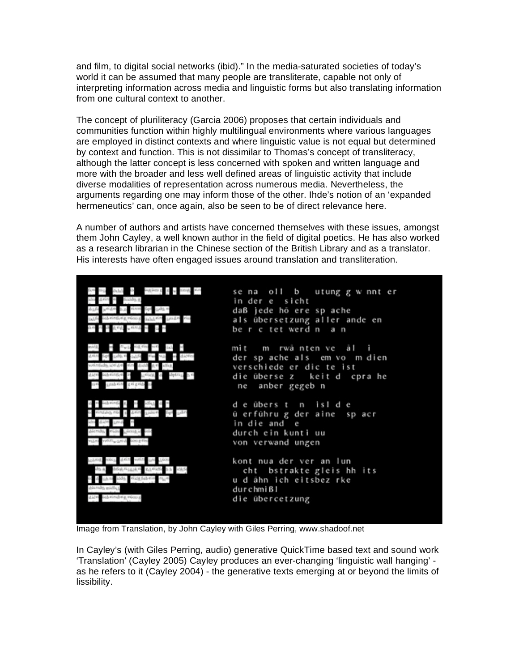and film, to digital social networks (ibid)." In the media-saturated societies of today's world it can be assumed that many people are transliterate, capable not only of interpreting information across media and linguistic forms but also translating information from one cultural context to another.

The concept of pluriliteracy (Garcia 2006) proposes that certain individuals and communities function within highly multilingual environments where various languages are employed in distinct contexts and where linguistic value is not equal but determined by context and function. This is not dissimilar to Thomas's concept of transliteracy, although the latter concept is less concerned with spoken and written language and more with the broader and less well defined areas of linguistic activity that include diverse modalities of representation across numerous media. Nevertheless, the arguments regarding one may inform those of the other. Ihde's notion of an 'expanded hermeneutics' can, once again, also be seen to be of direct relevance here.

A number of authors and artists have concerned themselves with these issues, amongst them John Cayley, a well known author in the field of digital poetics. He has also worked as a research librarian in the Chinese section of the British Library and as a translator. His interests have often engaged issues around translation and transliteration.



Image from Translation, by John Cayley with Giles Perring, www.shadoof.net

In Cayley's (with Giles Perring, audio) generative QuickTime based text and sound work 'Translation' (Cayley 2005) Cayley produces an ever-changing 'linguistic wall hanging' as he refers to it (Cayley 2004) - the generative texts emerging at or beyond the limits of lissibility.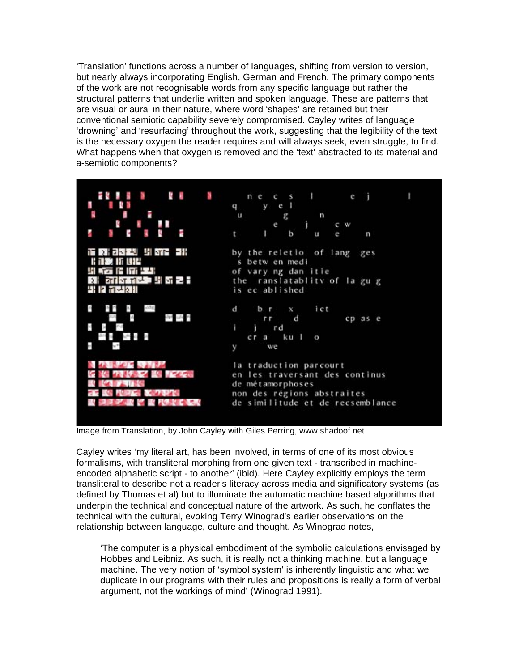'Translation' functions across a number of languages, shifting from version to version, but nearly always incorporating English, German and French. The primary components of the work are not recognisable words from any specific language but rather the structural patterns that underlie written and spoken language. These are patterns that are visual or aural in their nature, where word 'shapes' are retained but their conventional semiotic capability severely compromised. Cayley writes of language 'drowning' and 'resurfacing' throughout the work, suggesting that the legibility of the text is the necessary oxygen the reader requires and will always seek, even struggle, to find. What happens when that oxygen is removed and the 'text' abstracted to its material and a-semiotic components?



Image from Translation, by John Cayley with Giles Perring, www.shadoof.net

Cayley writes 'my literal art, has been involved, in terms of one of its most obvious formalisms, with transliteral morphing from one given text - transcribed in machineencoded alphabetic script - to another' (ibid). Here Cayley explicitly employs the term transliteral to describe not a reader's literacy across media and significatory systems (as defined by Thomas et al) but to illuminate the automatic machine based algorithms that underpin the technical and conceptual nature of the artwork. As such, he conflates the technical with the cultural, evoking Terry Winograd's earlier observations on the relationship between language, culture and thought. As Winograd notes,

'The computer is a physical embodiment of the symbolic calculations envisaged by Hobbes and Leibniz. As such, it is really not a thinking machine, but a language machine. The very notion of 'symbol system' is inherently linguistic and what we duplicate in our programs with their rules and propositions is really a form of verbal argument, not the workings of mind' (Winograd 1991).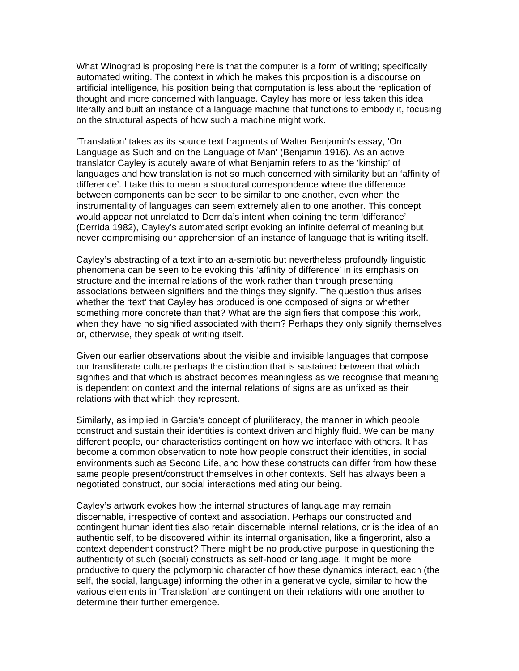What Winograd is proposing here is that the computer is a form of writing; specifically automated writing. The context in which he makes this proposition is a discourse on artificial intelligence, his position being that computation is less about the replication of thought and more concerned with language. Cayley has more or less taken this idea literally and built an instance of a language machine that functions to embody it, focusing on the structural aspects of how such a machine might work.

'Translation' takes as its source text fragments of Walter Benjamin's essay, 'On Language as Such and on the Language of Man' (Benjamin 1916). As an active translator Cayley is acutely aware of what Benjamin refers to as the 'kinship' of languages and how translation is not so much concerned with similarity but an 'affinity of difference'. I take this to mean a structural correspondence where the difference between components can be seen to be similar to one another, even when the instrumentality of languages can seem extremely alien to one another. This concept would appear not unrelated to Derrida's intent when coining the term 'differance' (Derrida 1982), Cayley's automated script evoking an infinite deferral of meaning but never compromising our apprehension of an instance of language that is writing itself.

Cayley's abstracting of a text into an a-semiotic but nevertheless profoundly linguistic phenomena can be seen to be evoking this 'affinity of difference' in its emphasis on structure and the internal relations of the work rather than through presenting associations between signifiers and the things they signify. The question thus arises whether the 'text' that Cayley has produced is one composed of signs or whether something more concrete than that? What are the signifiers that compose this work. when they have no signified associated with them? Perhaps they only signify themselves or, otherwise, they speak of writing itself.

Given our earlier observations about the visible and invisible languages that compose our transliterate culture perhaps the distinction that is sustained between that which signifies and that which is abstract becomes meaningless as we recognise that meaning is dependent on context and the internal relations of signs are as unfixed as their relations with that which they represent.

Similarly, as implied in Garcia's concept of pluriliteracy, the manner in which people construct and sustain their identities is context driven and highly fluid. We can be many different people, our characteristics contingent on how we interface with others. It has become a common observation to note how people construct their identities, in social environments such as Second Life, and how these constructs can differ from how these same people present/construct themselves in other contexts. Self has always been a negotiated construct, our social interactions mediating our being.

Cayley's artwork evokes how the internal structures of language may remain discernable, irrespective of context and association. Perhaps our constructed and contingent human identities also retain discernable internal relations, or is the idea of an authentic self, to be discovered within its internal organisation, like a fingerprint, also a context dependent construct? There might be no productive purpose in questioning the authenticity of such (social) constructs as self-hood or language. It might be more productive to query the polymorphic character of how these dynamics interact, each (the self, the social, language) informing the other in a generative cycle, similar to how the various elements in 'Translation' are contingent on their relations with one another to determine their further emergence.